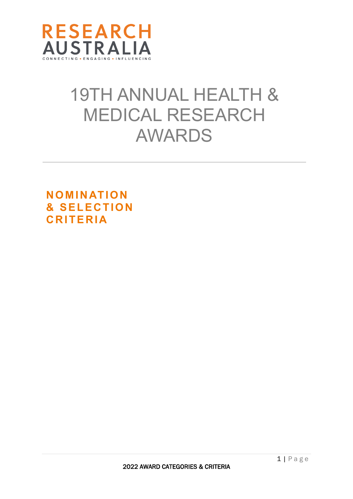

# 19TH ANNUAL HEALTH & MEDICAL RESEARCH AWARDS

**NOMINATION & SELECTION CRITERIA**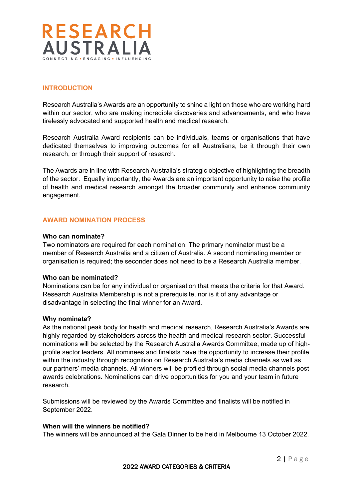

# **INTRODUCTION**

Research Australia's Awards are an opportunity to shine a light on those who are working hard within our sector, who are making incredible discoveries and advancements, and who have tirelessly advocated and supported health and medical research.

Research Australia Award recipients can be individuals, teams or organisations that have dedicated themselves to improving outcomes for all Australians, be it through their own research, or through their support of research.

The Awards are in line with Research Australia's strategic objective of highlighting the breadth of the sector. Equally importantly, the Awards are an important opportunity to raise the profile of health and medical research amongst the broader community and enhance community engagement.

## **AWARD NOMINATION PROCESS**

#### **Who can nominate?**

Two nominators are required for each nomination. The primary nominator must be a member of Research Australia and a citizen of Australia. A second nominating member or organisation is required; the seconder does not need to be a Research Australia member.

#### **Who can be nominated?**

Nominations can be for any individual or organisation that meets the criteria for that Award. Research Australia Membership is not a prerequisite, nor is it of any advantage or disadvantage in selecting the final winner for an Award.

#### **Why nominate?**

As the national peak body for health and medical research, Research Australia's Awards are highly regarded by stakeholders across the health and medical research sector. Successful nominations will be selected by the Research Australia Awards Committee, made up of highprofile sector leaders. All nominees and finalists have the opportunity to increase their profile within the industry through recognition on Research Australia's media channels as well as our partners' media channels. All winners will be profiled through social media channels post awards celebrations. Nominations can drive opportunities for you and your team in future research.

Submissions will be reviewed by the Awards Committee and finalists will be notified in September 2022.

#### **When will the winners be notified?**

The winners will be announced at the Gala Dinner to be held in Melbourne 13 October 2022.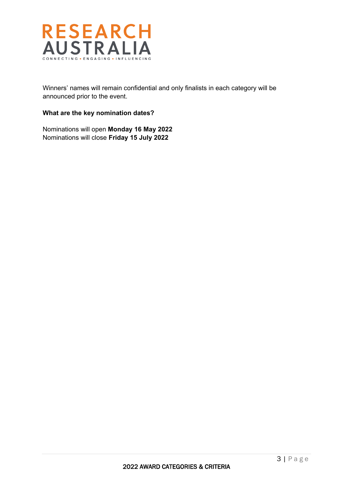

Winners' names will remain confidential and only finalists in each category will be announced prior to the event.

## **What are the key nomination dates?**

Nominations will open **Monday 16 May 2022** Nominations will close **Friday 15 July 2022**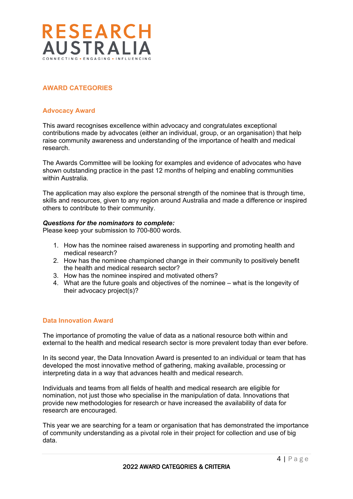

# **AWARD CATEGORIES**

## **Advocacy Award**

This award recognises excellence within advocacy and congratulates exceptional contributions made by advocates (either an individual, group, or an organisation) that help raise community awareness and understanding of the importance of health and medical research.

The Awards Committee will be looking for examples and evidence of advocates who have shown outstanding practice in the past 12 months of helping and enabling communities within Australia.

The application may also explore the personal strength of the nominee that is through time, skills and resources, given to any region around Australia and made a difference or inspired others to contribute to their community.

## *Questions for the nominators to complete:*

Please keep your submission to 700-800 words.

- 1. How has the nominee raised awareness in supporting and promoting health and medical research?
- 2. How has the nominee championed change in their community to positively benefit the health and medical research sector?
- 3. How has the nominee inspired and motivated others?
- 4. What are the future goals and objectives of the nominee what is the longevity of their advocacy project(s)?

## **Data Innovation Award**

The importance of promoting the value of data as a national resource both within and external to the health and medical research sector is more prevalent today than ever before.

In its second year, the Data Innovation Award is presented to an individual or team that has developed the most innovative method of gathering, making available, processing or interpreting data in a way that advances health and medical research.

Individuals and teams from all fields of health and medical research are eligible for nomination, not just those who specialise in the manipulation of data. Innovations that provide new methodologies for research or have increased the availability of data for research are encouraged*.*

This year we are searching for a team or organisation that has demonstrated the importance of community understanding as a pivotal role in their project for collection and use of big data.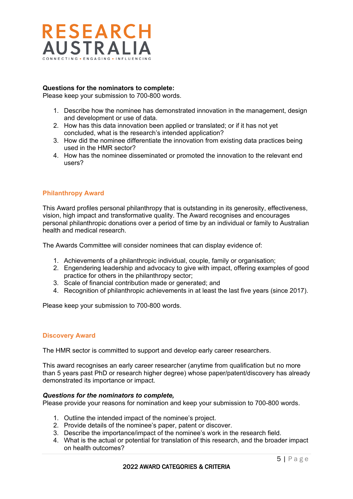

# **Questions for the nominators to complete:**

Please keep your submission to 700-800 words.

- 1. Describe how the nominee has demonstrated innovation in the management, design and development or use of data.
- 2. How has this data innovation been applied or translated; or if it has not yet concluded, what is the research's intended application?
- 3. How did the nominee differentiate the innovation from existing data practices being used in the HMR sector?
- 4. How has the nominee disseminated or promoted the innovation to the relevant end users?

## **Philanthropy Award**

This Award profiles personal philanthropy that is outstanding in its generosity, effectiveness, vision, high impact and transformative quality. The Award recognises and encourages personal philanthropic donations over a period of time by an individual or family to Australian health and medical research.

The Awards Committee will consider nominees that can display evidence of:

- 1. Achievements of a philanthropic individual, couple, family or organisation;
- 2. Engendering leadership and advocacy to give with impact, offering examples of good practice for others in the philanthropy sector;
- 3. Scale of financial contribution made or generated; and
- 4. Recognition of philanthropic achievements in at least the last five years (since 2017).

Please keep your submission to 700-800 words.

## **Discovery Award**

The HMR sector is committed to support and develop early career researchers.

This award recognises an early career researcher (anytime from qualification but no more than 5 years past PhD or research higher degree) whose paper/patent/discovery has already demonstrated its importance or impact.

#### *Questions for the nominators to complete,*

Please provide your reasons for nomination and keep your submission to 700-800 words.

- 1. Outline the intended impact of the nominee's project.
- 2. Provide details of the nominee's paper, patent or discover.
- 3. Describe the importance/impact of the nominee's work in the research field.
- 4. What is the actual or potential for translation of this research, and the broader impact on health outcomes?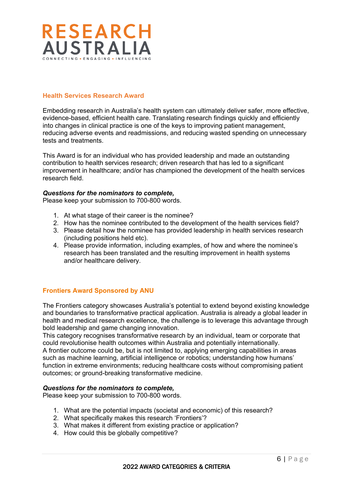

## **Health Services Research Award**

Embedding research in Australia's health system can ultimately deliver safer, more effective, evidence-based, efficient health care. Translating research findings quickly and efficiently into changes in clinical practice is one of the keys to improving patient management, reducing adverse events and readmissions, and reducing wasted spending on unnecessary tests and treatments.

This Award is for an individual who has provided leadership and made an outstanding contribution to health services research; driven research that has led to a significant improvement in healthcare; and/or has championed the development of the health services research field.

## *Questions for the nominators to complete,*

Please keep your submission to 700-800 words.

- 1. At what stage of their career is the nominee?
- 2. How has the nominee contributed to the development of the health services field?
- 3. Please detail how the nominee has provided leadership in health services research (including positions held etc).
- 4. Please provide information, including examples, of how and where the nominee's research has been translated and the resulting improvement in health systems and/or healthcare delivery.

# **Frontiers Award Sponsored by ANU**

The Frontiers category showcases Australia's potential to extend beyond existing knowledge and boundaries to transformative practical application. Australia is already a global leader in health and medical research excellence, the challenge is to leverage this advantage through bold leadership and game changing innovation.

This category recognises transformative research by an individual, team or corporate that could revolutionise health outcomes within Australia and potentially internationally. A frontier outcome could be, but is not limited to, applying emerging capabilities in areas such as machine learning, artificial intelligence or robotics; understanding how humans' function in extreme environments; reducing healthcare costs without compromising patient outcomes; or ground-breaking transformative medicine.

## *Questions for the nominators to complete,*

Please keep your submission to 700-800 words.

- 1. What are the potential impacts (societal and economic) of this research?
- 2. What specifically makes this research 'Frontiers'?
- 3. What makes it different from existing practice or application?
- 4. How could this be globally competitive?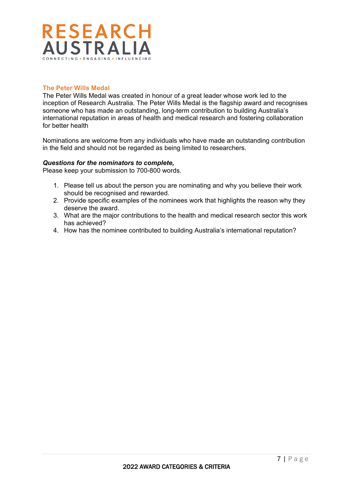

# **The Peter Wills Medal**

The Peter Wills Medal was created in honour of a great leader whose work led to the inception of Research Australia. The Peter Wills Medal is the flagship award and recognises someone who has made an outstanding, long-term contribution to building Australia's international reputation in areas of health and medical research and fostering collaboration for better health

Nominations are welcome from any individuals who have made an outstanding contribution in the field and should not be regarded as being limited to researchers.

## *Questions for the nominators to complete,*

Please keep your submission to 700-800 words.

- 1. Please tell us about the person you are nominating and why you believe their work should be recognised and rewarded.
- 2. Provide specific examples of the nominees work that highlights the reason why they deserve the award.
- 3. What are the major contributions to the health and medical research sector this work has achieved?
- 4. How has the nominee contributed to building Australia's international reputation?